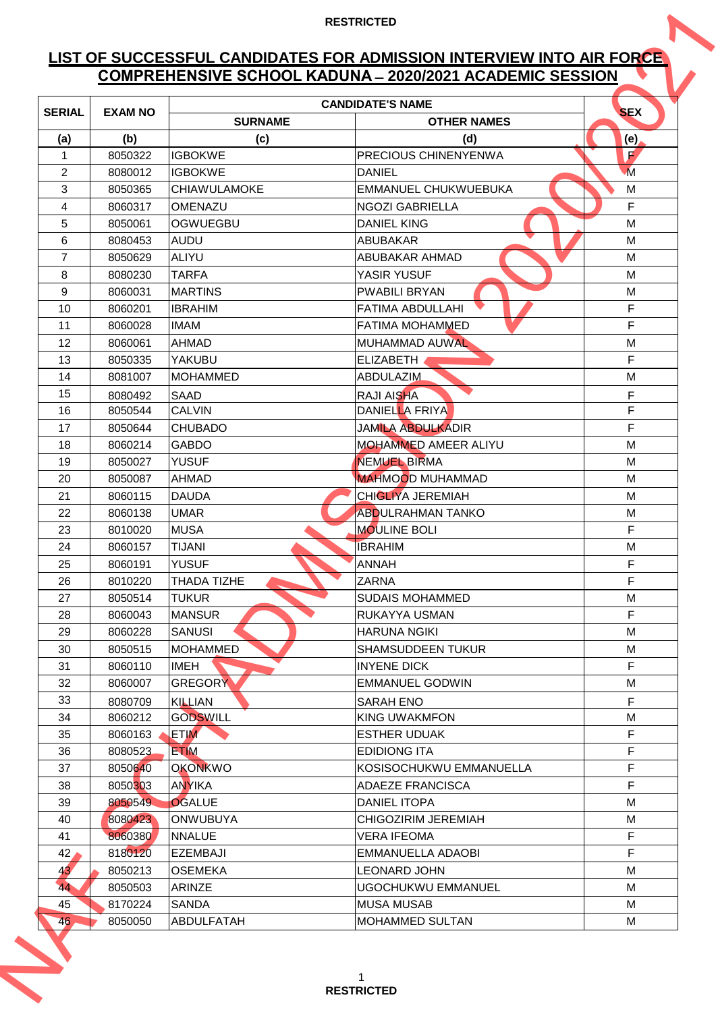# **LIST OF SUCCESSFUL CANDIDATES FOR ADMISSION INTERVIEW INTO AIR FORCE COMPREHENSIVE SCHOOL KADUNA ̶2020/2021 ACADEMIC SESSION**

|                     | <b>COMPREHENSIVE SCHOOL KADUNA - 2020/2021 ACADEMIC SESSION</b> |                                   |                                          |                    |  |  |
|---------------------|-----------------------------------------------------------------|-----------------------------------|------------------------------------------|--------------------|--|--|
| <b>SERIAL</b>       | <b>EXAM NO</b>                                                  |                                   | <b>CANDIDATE'S NAME</b>                  | <b>SEX</b>         |  |  |
|                     |                                                                 | <b>SURNAME</b>                    | <b>OTHER NAMES</b>                       |                    |  |  |
| (a)<br>$\mathbf{1}$ | (b)<br>8050322                                                  | (c)<br><b>IGBOKWE</b>             | (d)<br><b>PRECIOUS CHINENYENWA</b>       | (e)<br>$\mathbf F$ |  |  |
| 2                   | 8080012                                                         | <b>IGBOKWE</b>                    | <b>DANIEL</b>                            | $\overline{M}$     |  |  |
| 3                   | 8050365                                                         | <b>CHIAWULAMOKE</b>               | <b>EMMANUEL CHUKWUEBUKA</b>              | M                  |  |  |
| 4                   | 8060317                                                         | <b>OMENAZU</b>                    | <b>NGOZI GABRIELLA</b>                   | F                  |  |  |
| 5                   | 8050061                                                         | <b>OGWUEGBU</b>                   | <b>DANIEL KING</b>                       | M                  |  |  |
| 6                   | 8080453                                                         | AUDU                              | <b>ABUBAKAR</b>                          | м                  |  |  |
| $\overline{7}$      | 8050629                                                         | <b>ALIYU</b>                      | <b>ABUBAKAR AHMAD</b>                    | M                  |  |  |
| 8                   | 8080230                                                         | <b>TARFA</b>                      | YASIR YUSUF                              | M                  |  |  |
| 9                   | 8060031                                                         | <b>MARTINS</b>                    | <b>PWABILI BRYAN</b>                     | м                  |  |  |
| 10                  | 8060201                                                         | <b>IBRAHIM</b>                    | <b>FATIMA ABDULLAHI</b>                  | F                  |  |  |
| 11                  | 8060028                                                         | <b>IMAM</b>                       | <b>FATIMA MOHAMMED</b>                   | F                  |  |  |
| 12                  | 8060061                                                         | <b>AHMAD</b>                      | <b>MUHAMMAD AUWAL</b>                    | M                  |  |  |
| 13                  | 8050335                                                         | <b>YAKUBU</b>                     | <b>ELIZABETH</b>                         | F                  |  |  |
| 14                  | 8081007                                                         | <b>MOHAMMED</b>                   | <b>ABDULAZIM</b>                         | M                  |  |  |
| 15                  | 8080492                                                         | <b>SAAD</b>                       | <b>RAJI AISHA</b>                        | F                  |  |  |
| 16                  | 8050544                                                         | <b>CALVIN</b>                     | DANIELLA FRIYA                           | F                  |  |  |
| 17                  | 8050644                                                         | <b>CHUBADO</b>                    | <b>JAMILA ABDULKADIR</b>                 | F                  |  |  |
| 18                  | 8060214                                                         | <b>GABDO</b>                      | <b>MOHAMMED AMEER ALIYU</b>              | M                  |  |  |
| 19                  | 8050027                                                         | <b>YUSUF</b>                      | <b>NEMUEL BIRMA</b>                      | M                  |  |  |
| 20                  | 8050087                                                         | AHMAD                             | <b>MAHMOOD MUHAMMAD</b>                  | M                  |  |  |
| 21                  | 8060115                                                         | <b>DAUDA</b>                      | <b>CHIGLIYA JEREMIAH</b>                 | M                  |  |  |
| 22                  | 8060138                                                         | <b>UMAR</b>                       | <b>ABDULRAHMAN TANKO</b>                 | M                  |  |  |
| 23                  | 8010020                                                         | <b>MUSA</b>                       | <b>MOULINE BOLI</b>                      | F                  |  |  |
| 24                  | 8060157                                                         | <b>TIJANI</b>                     | <b>IBRAHIM</b>                           | М                  |  |  |
| 25                  | 8060191                                                         | <b>YUSUF</b>                      | <b>ANNAH</b>                             | F                  |  |  |
| 26                  | 8010220                                                         | THADA TIZHE                       | <b>ZARNA</b>                             | F                  |  |  |
| 27                  | 8050514                                                         | <b>TUKUR</b>                      | <b>SUDAIS MOHAMMED</b>                   | М                  |  |  |
| 28                  | 8060043                                                         | <b>MANSUR</b>                     | RUKAYYA USMAN                            | $\mathsf F$        |  |  |
| 29                  | 8060228                                                         | <b>SANUSI</b>                     | <b>HARUNA NGIKI</b>                      | М                  |  |  |
| 30                  | 8050515                                                         | <b>MOHAMMED</b>                   | <b>SHAMSUDDEEN TUKUR</b>                 | M                  |  |  |
| 31                  | 8060110                                                         | IMEH                              | <b>INYENE DICK</b>                       | F.                 |  |  |
| 32                  | 8060007                                                         | <b>GREGORY</b>                    | <b>EMMANUEL GODWIN</b>                   | M                  |  |  |
| 33                  | 8080709                                                         | <b>KILLIAN</b>                    | SARAH ENO                                | F                  |  |  |
| 34                  | 8060212                                                         | <b>GODSWILL</b>                   | KING UWAKMFON                            | M                  |  |  |
| 35                  | 8060163                                                         | <b>ETIM</b>                       | <b>ESTHER UDUAK</b>                      | F                  |  |  |
| 36                  | 8080523                                                         | <b>ETIM</b>                       | <b>EDIDIONG ITA</b>                      | F                  |  |  |
| 37                  | 8050640                                                         | <b>OKONKWO</b>                    | KOSISOCHUKWU EMMANUELLA                  | $\mathsf F$        |  |  |
| 38                  | 8050303                                                         | <b>ANYIKA</b>                     | <b>ADAEZE FRANCISCA</b>                  | F                  |  |  |
| 39                  | 8050549                                                         | <b>OGALUE</b>                     | <b>DANIEL ITOPA</b>                      | M                  |  |  |
| 40                  | 8080423                                                         | <b>ONWUBUYA</b>                   | CHIGOZIRIM JEREMIAH                      | M                  |  |  |
| 41                  | 8060380                                                         | <b>NNALUE</b>                     | <b>VERA IFEOMA</b>                       | F<br>F             |  |  |
| 42<br>43            | 8180120<br>8050213                                              | <b>EZEMBAJI</b><br><b>OSEMEKA</b> | EMMANUELLA ADAOBI<br><b>LEONARD JOHN</b> | M                  |  |  |
| 44                  |                                                                 | <b>ARINZE</b>                     | UGOCHUKWU EMMANUEL                       | M                  |  |  |
| 45                  | 8050503<br>8170224                                              | <b>SANDA</b>                      | <b>MUSA MUSAB</b>                        | М                  |  |  |
|                     | 8050050                                                         | <b>ABDULFATAH</b>                 | <b>MOHAMMED SULTAN</b>                   | M                  |  |  |
| 46                  |                                                                 |                                   |                                          |                    |  |  |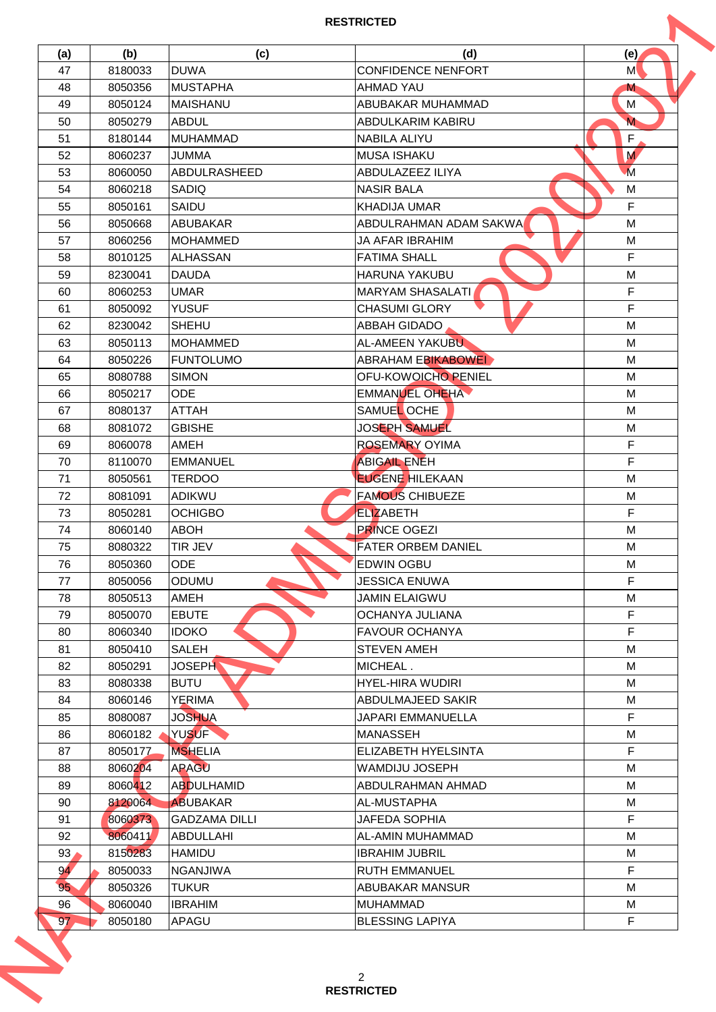| (a)      | (b)     | (c)                  | (d)                        | (e)            |
|----------|---------|----------------------|----------------------------|----------------|
| 47       | 8180033 | <b>DUWA</b>          | <b>CONFIDENCE NENFORT</b>  | M              |
| 48       | 8050356 | <b>MUSTAPHA</b>      | <b>AHMAD YAU</b>           | M              |
| 49       | 8050124 | <b>MAISHANU</b>      | ABUBAKAR MUHAMMAD          | M              |
| 50       | 8050279 | <b>ABDUL</b>         | ABDULKARIM KABIRU          | $\mathbf M$    |
| 51       | 8180144 | <b>MUHAMMAD</b>      | <b>NABILA ALIYU</b>        | F              |
| 52       | 8060237 | <b>JUMMA</b>         | <b>MUSA ISHAKU</b>         | M              |
| 53       | 8060050 | ABDULRASHEED         | ABDULAZEEZ ILIYA           | $\overline{M}$ |
| 54       | 8060218 | SADIQ                | <b>NASIR BALA</b>          | M              |
| 55       | 8050161 | SAIDU                | KHADIJA UMAR               | F              |
| 56       | 8050668 | <b>ABUBAKAR</b>      | ABDULRAHMAN ADAM SAKWA     | M              |
| 57       | 8060256 | <b>MOHAMMED</b>      | <b>JA AFAR IBRAHIM</b>     | М              |
| 58       | 8010125 | <b>ALHASSAN</b>      | <b>FATIMA SHALL</b>        | F              |
| 59       | 8230041 | <b>DAUDA</b>         | <b>HARUNA YAKUBU</b>       | M              |
| 60       | 8060253 | <b>UMAR</b>          | <b>MARYAM SHASALATI</b>    | $\mathsf F$    |
| 61       | 8050092 | <b>YUSUF</b>         | <b>CHASUMI GLORY</b>       | F              |
| 62       | 8230042 | <b>SHEHU</b>         | ABBAH GIDADO               | M              |
| 63       | 8050113 | <b>MOHAMMED</b>      | <b>AL-AMEEN YAKUBU</b>     | M              |
| 64       | 8050226 | <b>FUNTOLUMO</b>     | <b>ABRAHAM EBIKABOWEI</b>  | М              |
| 65       | 8080788 | <b>SIMON</b>         | OFU-KOWOICHO PENIEL        | M              |
| 66       | 8050217 | <b>ODE</b>           | EMMANUEL OHEHA             | M              |
| 67       | 8080137 | <b>ATTAH</b>         | SAMUEL OCHE                | M              |
| 68       | 8081072 | <b>GBISHE</b>        | <b>JOSEPH SAMUEL</b>       | М              |
| 69       | 8060078 | AMEH                 | <b>ROSEMARY OYIMA</b>      | F              |
| 70       | 8110070 | <b>EMMANUEL</b>      | <b>ABIGAIL ENEH</b>        | F              |
| 71       | 8050561 | <b>TERDOO</b>        | <b>EUGENE HILEKAAN</b>     | M              |
| 72       | 8081091 | <b>ADIKWU</b>        | <b>FAMOUS CHIBUEZE</b>     | M              |
| 73       | 8050281 | <b>OCHIGBO</b>       | <b>ELIZABETH</b>           | F              |
| 74       | 8060140 | <b>ABOH</b>          | <b>PRINCE OGEZI</b>        | M              |
| 75       | 8080322 | TIR JEV              | <b>FATER ORBEM DANIEL</b>  | M              |
| 76       | 8050360 | ODE                  | <b>EDWIN OGBU</b>          | M              |
| 77       | 8050056 | <b>ODUMU</b>         | <b>JESSICA ENUWA</b>       | F.             |
| 78       | 8050513 | AMEH                 | <b>JAMIN ELAIGWU</b>       | М              |
| 79       | 8050070 | <b>EBUTE</b>         | OCHANYA JULIANA            | $\mathsf F$    |
| 80       | 8060340 | <b>IDOKO</b>         | <b>FAVOUR OCHANYA</b>      | F              |
| 81       | 8050410 | <b>SALEH</b>         | <b>STEVEN AMEH</b>         | M              |
| 82       | 8050291 | <b>JOSEPH</b>        | MICHEAL.                   | М              |
| 83       | 8080338 | <b>BUTU</b>          | <b>HYEL-HIRA WUDIRI</b>    | M              |
| 84       | 8060146 | <b>YERIMA</b>        | ABDULMAJEED SAKIR          | М              |
| 85       | 8080087 | <b>JOSHUA</b>        | JAPARI EMMANUELLA          | F              |
| 86       | 8060182 | <b>YUSUF</b>         | <b>MANASSEH</b>            | М              |
| 87       | 8050177 | <b>MSHELIA</b>       | <b>ELIZABETH HYELSINTA</b> | F              |
| 88       | 8060204 | <b>APAGU</b>         | WAMDIJU JOSEPH             | M              |
|          | 8060412 | <b>ABDULHAMID</b>    | ABDULRAHMAN AHMAD          | M              |
| 89<br>90 | 8120064 | <b>ABUBAKAR</b>      | AL-MUSTAPHA                | М              |
|          | 8060373 | <b>GADZAMA DILLI</b> | <b>JAFEDA SOPHIA</b>       | F              |
| 91<br>92 | 8060411 | <b>ABDULLAHI</b>     | AL-AMIN MUHAMMAD           | M              |
|          |         |                      |                            |                |
| 93       | 8150283 | <b>HAMIDU</b>        | <b>IBRAHIM JUBRIL</b>      | м<br>F         |
| 94       | 8050033 | <b>NGANJIWA</b>      | <b>RUTH EMMANUEL</b>       |                |
| 95       | 8050326 | <b>TUKUR</b>         | ABUBAKAR MANSUR            | M              |
| 96       | 8060040 | <b>IBRAHIM</b>       | <b>MUHAMMAD</b>            | М              |
| 97       | 8050180 | APAGU                | <b>BLESSING LAPIYA</b>     | $\mathsf F$    |
|          |         |                      | 2                          |                |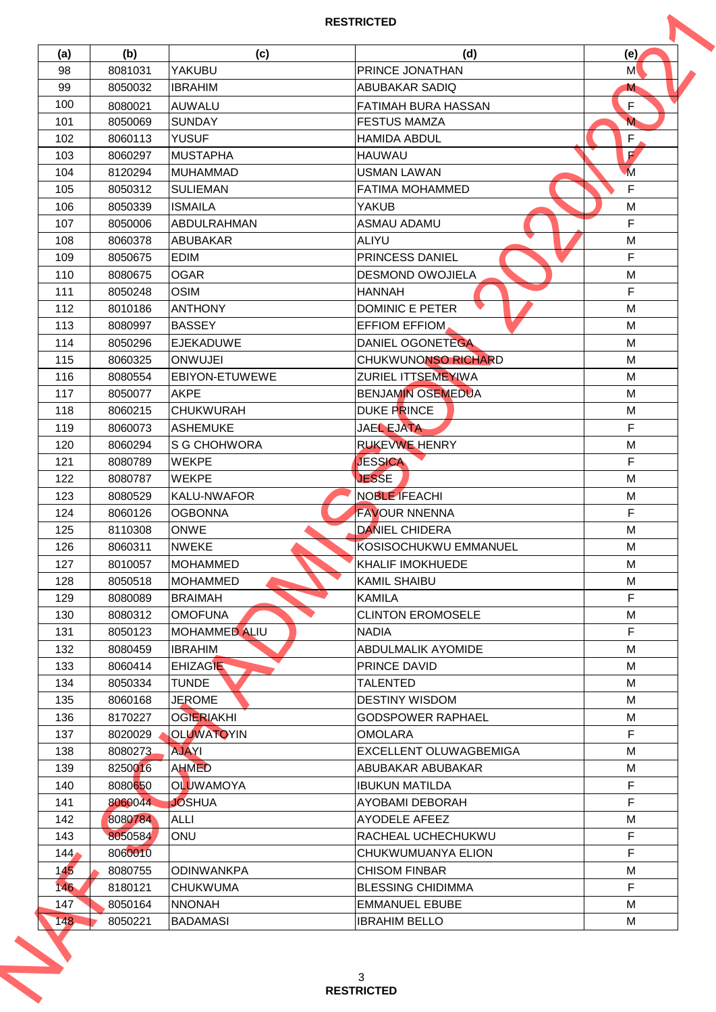| (a)              | (b)     | (c)                  | (d)                        | (e)                     |
|------------------|---------|----------------------|----------------------------|-------------------------|
| 98               | 8081031 | YAKUBU               | PRINCE JONATHAN            | M                       |
| 99               | 8050032 | <b>IBRAHIM</b>       | ABUBAKAR SADIQ             | M                       |
| 100              | 8080021 | <b>AUWALU</b>        | <b>FATIMAH BURA HASSAN</b> | $\mathsf F$             |
| 101              | 8050069 | <b>SUNDAY</b>        | <b>FESTUS MAMZA</b>        | $\overline{\mathsf{M}}$ |
| 102              | 8060113 | <b>YUSUF</b>         | <b>HAMIDA ABDUL</b>        | F                       |
| 103              | 8060297 | <b>MUSTAPHA</b>      | <b>HAUWAU</b>              | F.                      |
| 104              | 8120294 | <b>MUHAMMAD</b>      | <b>USMAN LAWAN</b>         | $\overline{M}$          |
| 105              | 8050312 | <b>SULIEMAN</b>      | <b>FATIMA MOHAMMED</b>     | F                       |
| 106              | 8050339 | <b>ISMAILA</b>       | YAKUB                      | M                       |
| 107              | 8050006 | <b>ABDULRAHMAN</b>   | <b>ASMAU ADAMU</b>         | F                       |
| 108              | 8060378 | <b>ABUBAKAR</b>      | <b>ALIYU</b>               | М                       |
| 109              | 8050675 | <b>EDIM</b>          | <b>PRINCESS DANIEL</b>     | F                       |
| 110              | 8080675 | <b>OGAR</b>          | <b>DESMOND OWOJIELA</b>    | M                       |
| 111              | 8050248 | <b>OSIM</b>          | <b>HANNAH</b>              | F                       |
| 112              | 8010186 | <b>ANTHONY</b>       | <b>DOMINIC E PETER</b>     | M                       |
| 113              | 8080997 | <b>BASSEY</b>        | <b>EFFIOM EFFIOM</b>       | M                       |
| 114              | 8050296 | <b>EJEKADUWE</b>     | DANIEL OGONETEGA           | M                       |
| 115              | 8060325 | <b>ONWUJEI</b>       | CHUKWUNONSO RICHARD        | M                       |
| 116              | 8080554 | EBIYON-ETUWEWE       | ZURIEL ITTSEMEYIWA         | M                       |
| 117              | 8050077 | <b>AKPE</b>          | <b>BENJAMIN OSEMEDUA</b>   | M                       |
| 118              | 8060215 | <b>CHUKWURAH</b>     | DUKE PRINCE                | M                       |
| 119              | 8060073 | <b>ASHEMUKE</b>      | JAEL EJATA                 | F                       |
| 120              | 8060294 | S G CHOHWORA         | <b>RUKEVWE HENRY</b>       | M                       |
| 121              | 8080789 | <b>WEKPE</b>         | <b>JESSICA</b>             | F                       |
| 122              | 8080787 | WEKPE                | <b>JESSE</b>               | M                       |
| 123              | 8080529 | <b>KALU-NWAFOR</b>   | NOBLE IFEACHI              | M                       |
| 124              | 8060126 | <b>OGBONNA</b>       | <b>FAVOUR NNENNA</b>       | F                       |
| 125              | 8110308 | <b>ONWE</b>          | <b>DANIEL CHIDERA</b>      | M                       |
| 126              | 8060311 | <b>NWEKE</b>         | KOSISOCHUKWU EMMANUEL      | М                       |
| 127              | 8010057 | <b>MOHAMMED</b>      | <b>KHALIF IMOKHUEDE</b>    | M                       |
| 128              | 8050518 | <b>MOHAMMED</b>      | <b>KAMIL SHAIBU</b>        | M                       |
| 129              | 8080089 | <b>BRAIMAH</b>       | <b>KAMILA</b>              | F                       |
| 130              | 8080312 | <b>OMOFUNA</b>       | <b>CLINTON EROMOSELE</b>   | М                       |
| 131              | 8050123 | <b>MOHAMMED ALIU</b> | <b>NADIA</b>               | F                       |
| 132              | 8080459 | <b>IBRAHIM</b>       | ABDULMALIK AYOMIDE         | M                       |
| 133              | 8060414 | <b>EHIZAGIE</b>      | PRINCE DAVID               | М                       |
| 134              | 8050334 | <b>TUNDE</b>         | <b>TALENTED</b>            | M                       |
| 135              | 8060168 | <b>JEROME</b>        | <b>DESTINY WISDOM</b>      | M                       |
| 136              | 8170227 | <b>OGIERIAKHI</b>    | <b>GODSPOWER RAPHAEL</b>   | М                       |
| 137              | 8020029 | <b>OLUWATOYIN</b>    | <b>OMOLARA</b>             | F                       |
| 138              | 8080273 | <b>AJAYI</b>         | EXCELLENT OLUWAGBEMIGA     | M                       |
| 139              | 8250016 | <b>AHMED</b>         | ABUBAKAR ABUBAKAR          | M                       |
| 140              | 8080650 | <b>OLUWAMOYA</b>     | <b>IBUKUN MATILDA</b>      | F                       |
| 141              | 8060044 | <b>JOSHUA</b>        | AYOBAMI DEBORAH            | F                       |
| 142              | 8080784 | <b>ALLI</b>          | <b>AYODELE AFEEZ</b>       | M                       |
| 143              | 8050584 | <b>ONU</b>           | RACHEAL UCHECHUKWU         | F                       |
| 144 <sub>′</sub> | 8060010 |                      | CHUKWUMUANYA ELION         | F                       |
| 145              | 8080755 | <b>ODINWANKPA</b>    | <b>CHISOM FINBAR</b>       | M                       |
| 146              | 8180121 | <b>CHUKWUMA</b>      | <b>BLESSING CHIDIMMA</b>   | F                       |
| 147              | 8050164 | <b>NNONAH</b>        | <b>EMMANUEL EBUBE</b>      | М                       |
| 148              | 8050221 | <b>BADAMASI</b>      | <b>IBRAHIM BELLO</b>       | М                       |
|                  |         |                      |                            |                         |
|                  |         |                      |                            |                         |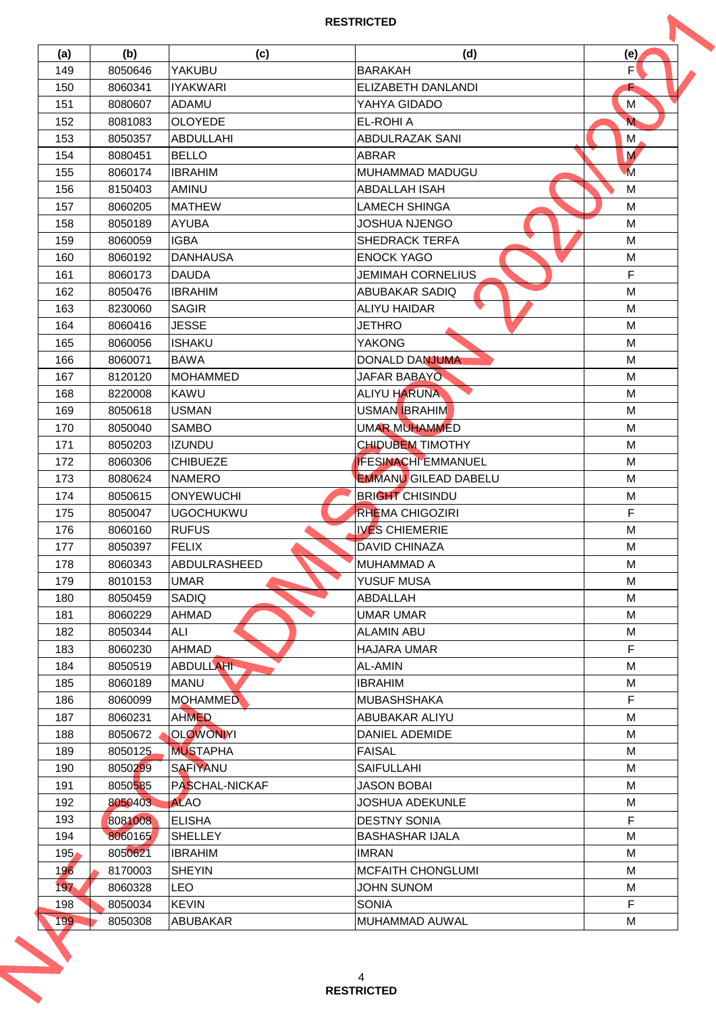| (a) | (b)     | (c)              | (d)                         | (e)                     |
|-----|---------|------------------|-----------------------------|-------------------------|
| 149 | 8050646 | YAKUBU           | <b>BARAKAH</b>              | $\mathsf{F}^\prime$     |
| 150 | 8060341 | <b>IYAKWARI</b>  | ELIZABETH DANLANDI          |                         |
| 151 | 8080607 | <b>ADAMU</b>     | YAHYA GIDADO                | M                       |
| 152 | 8081083 | <b>OLOYEDE</b>   | <b>EL-ROHIA</b>             | $\overline{\mathsf{M}}$ |
| 153 | 8050357 | <b>ABDULLAHI</b> | ABDULRAZAK SANI             | М                       |
| 154 | 8080451 | <b>BELLO</b>     | <b>ABRAR</b>                | M                       |
| 155 | 8060174 | <b>IBRAHIM</b>   | MUHAMMAD MADUGU             | $\overline{M}$          |
| 156 | 8150403 | AMINU            | <b>ABDALLAH ISAH</b>        | M                       |
| 157 | 8060205 | <b>MATHEW</b>    | LAMECH SHINGA               | M                       |
| 158 | 8050189 | <b>AYUBA</b>     | JOSHUA NJENGO               | M                       |
| 159 | 8060059 | <b>IGBA</b>      | <b>SHEDRACK TERFA</b>       | M                       |
| 160 | 8060192 | <b>DANHAUSA</b>  | <b>ENOCK YAGO</b>           | M                       |
| 161 | 8060173 | <b>DAUDA</b>     | <b>JEMIMAH CORNELIUS</b>    | F                       |
| 162 | 8050476 | <b>IBRAHIM</b>   | <b>ABUBAKAR SADIQ</b>       | M                       |
| 163 | 8230060 | <b>SAGIR</b>     | <b>ALIYU HAIDAR</b>         | M                       |
| 164 | 8060416 | <b>JESSE</b>     | <b>JETHRO</b>               | M                       |
| 165 | 8060056 | <b>ISHAKU</b>    | <b>YAKONG</b>               | M                       |
| 166 | 8060071 | <b>BAWA</b>      | <b>DONALD DANJUMA</b>       | М                       |
| 167 | 8120120 | <b>MOHAMMED</b>  | JAFAR BABAYO                | M                       |
| 168 | 8220008 | <b>KAWU</b>      | <b>ALIYU HARUNA</b>         | M                       |
| 169 | 8050618 | <b>USMAN</b>     | <b>USMAN BRAHIM</b>         | M                       |
|     |         |                  |                             |                         |
| 170 | 8050040 | <b>SAMBO</b>     | <b>UMAR MUHAMMED</b>        | M                       |
| 171 | 8050203 | <b>IZUNDU</b>    | <b>CHIDUBEM TIMOTHY</b>     | M                       |
| 172 | 8060306 | <b>CHIBUEZE</b>  | <b>IFESINACHI EMMANUEL</b>  | M                       |
| 173 | 8080624 | <b>NAMERO</b>    | <b>EMMANU GILEAD DABELU</b> | M                       |
| 174 | 8050615 | <b>ONYEWUCHI</b> | <b>BRIGHT CHISINDU</b>      | М                       |
| 175 | 8050047 | <b>UGOCHUKWU</b> | <b>RHEMA CHIGOZIRI</b>      | F                       |
| 176 | 8060160 | <b>RUFUS</b>     | <b>IVES CHIEMERIE</b>       | M                       |
| 177 | 8050397 | <b>FELIX</b>     | <b>DAVID CHINAZA</b>        | М                       |
| 178 | 8060343 | ABDULRASHEED     | <b>MUHAMMAD A</b>           | M                       |
| 179 | 8010153 | <b>UMAR</b>      | YUSUF MUSA                  | M                       |
| 180 | 8050459 | SADIQ            | <b>ABDALLAH</b>             | M                       |
| 181 | 8060229 | AHMAD            | <b>UMAR UMAR</b>            | M                       |
| 182 | 8050344 | ALI              | <b>ALAMIN ABU</b>           | M                       |
| 183 | 8060230 | AHMAD            | <b>HAJARA UMAR</b>          | F.                      |
| 184 | 8050519 | <b>ABDULLAHI</b> | AL-AMIN                     | M                       |
| 185 | 8060189 | <b>MANU</b>      | <b>IBRAHIM</b>              | M                       |
| 186 | 8060099 | <b>MOHAMMED</b>  | <b>MUBASHSHAKA</b>          | F                       |
| 187 | 8060231 | <b>AHMED</b>     | ABUBAKAR ALIYU              | M                       |
| 188 | 8050672 | <b>OLOWONIYI</b> | <b>DANIEL ADEMIDE</b>       | M                       |
| 189 | 8050125 | <b>MUSTAPHA</b>  | <b>FAISAL</b>               | M                       |
| 190 | 8050299 | <b>SAFIYANU</b>  | <b>SAIFULLAHI</b>           | M                       |
| 191 | 8050585 | PASCHAL-NICKAF   | <b>JASON BOBAI</b>          | M                       |
| 192 | 8050403 | <b>ALAO</b>      | <b>JOSHUA ADEKUNLE</b>      | М                       |
| 193 | 8081008 | <b>ELISHA</b>    | <b>DESTNY SONIA</b>         | F                       |
| 194 | 8060165 | <b>SHELLEY</b>   | <b>BASHASHAR IJALA</b>      | M                       |
| 195 | 8050621 | <b>IBRAHIM</b>   | <b>IMRAN</b>                | М                       |
| 196 | 8170003 | <b>SHEYIN</b>    | <b>MCFAITH CHONGLUMI</b>    | M                       |
| 197 | 8060328 | <b>LEO</b>       | JOHN SUNOM                  | M                       |
| 198 | 8050034 | <b>KEVIN</b>     | <b>SONIA</b>                | F                       |
|     | 8050308 | ABUBAKAR         | MUHAMMAD AUWAL              | M                       |
| 199 |         |                  |                             |                         |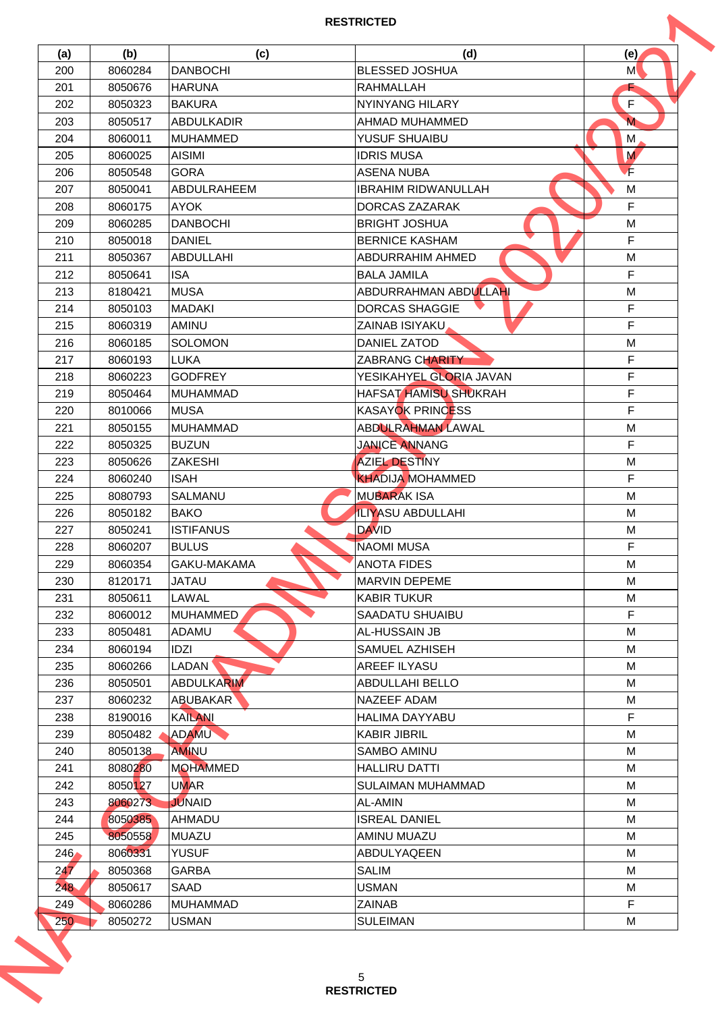| (a)  | (b)     | (c)                | (d)                        | (e)          |
|------|---------|--------------------|----------------------------|--------------|
| 200  | 8060284 | <b>DANBOCHI</b>    | <b>BLESSED JOSHUA</b>      | M            |
| 201  | 8050676 | <b>HARUNA</b>      | <b>RAHMALLAH</b>           |              |
| 202  | 8050323 | <b>BAKURA</b>      | NYINYANG HILARY            | $\mathsf{F}$ |
| 203  | 8050517 | <b>ABDULKADIR</b>  | AHMAD MUHAMMED             | $\mathbf M$  |
| 204  | 8060011 | <b>MUHAMMED</b>    | YUSUF SHUAIBU              | М            |
| 205  | 8060025 | <b>AISIMI</b>      | <b>IDRIS MUSA</b>          | M            |
| 206  | 8050548 | <b>GORA</b>        | <b>ASENA NUBA</b>          | F.           |
| 207  | 8050041 | ABDULRAHEEM        | <b>IBRAHIM RIDWANULLAH</b> | M            |
| 208  | 8060175 | <b>AYOK</b>        | DORCAS ZAZARAK             | F            |
| 209  | 8060285 | <b>DANBOCHI</b>    | <b>BRIGHT JOSHUA</b>       | M            |
| 210  | 8050018 | <b>DANIEL</b>      | <b>BERNICE KASHAM</b>      | F            |
| 211  | 8050367 | <b>ABDULLAHI</b>   | <b>ABDURRAHIM AHMED</b>    | M            |
| 212  | 8050641 | <b>ISA</b>         | <b>BALA JAMILA</b>         | F            |
| 213  | 8180421 | <b>MUSA</b>        | ABDURRAHMAN ABDULLAHI      | M            |
| 214  | 8050103 | <b>MADAKI</b>      | <b>DORCAS SHAGGIE</b>      | $\mathsf F$  |
| 215  | 8060319 | AMINU              | ZAINAB ISIYAKU             | F            |
| 216  | 8060185 | <b>SOLOMON</b>     | <b>DANIEL ZATOD</b>        | M            |
| 217  | 8060193 | <b>LUKA</b>        | <b>ZABRANG CHARITY</b>     | F            |
| 218  | 8060223 | <b>GODFREY</b>     | YESIKAHYEL GLORIA JAVAN    | F            |
|      |         |                    | HAFSAT HAMISU SHUKRAH      | F            |
| 219  | 8050464 | <b>MUHAMMAD</b>    |                            |              |
| 220  | 8010066 | <b>MUSA</b>        | <b>KASAYOK PRINCESS</b>    | F.           |
| 221  | 8050155 | <b>MUHAMMAD</b>    | <b>ABDULRAHMAN LAWAL</b>   | М            |
| 222  | 8050325 | <b>BUZUN</b>       | <b>JANICE ANNANG</b>       | F            |
| 223  | 8050626 | <b>ZAKESHI</b>     | <b>AZIEL DESTINY</b>       | M            |
| 224  | 8060240 | <b>ISAH</b>        | <b>KHADIJA MOHAMMED</b>    | F            |
| 225  | 8080793 | <b>SALMANU</b>     | <b>MUBARAK ISA</b>         | M            |
| 226  | 8050182 | <b>BAKO</b>        | <b>ILIYASU ABDULLAHI</b>   | M            |
| 227  | 8050241 | <b>ISTIFANUS</b>   | <b>DAVID</b>               | M            |
| 228  | 8060207 | <b>BULUS</b>       | <b>NAOMI MUSA</b>          | F            |
| 229  | 8060354 | GAKU-MAKAMA        | <b>ANOTA FIDES</b>         | M            |
| 230  | 8120171 | <b>JATAU</b>       | <b>MARVIN DEPEME</b>       | M            |
| 231  | 8050611 | LAWAL              | <b>KABIR TUKUR</b>         | M            |
| 232  | 8060012 | <b>MUHAMMED</b>    | <b>SAADATU SHUAIBU</b>     | $\mathsf F$  |
| 233  | 8050481 | ADAMU              | AL-HUSSAIN JB              | М            |
| 234  | 8060194 | IDZI               | SAMUEL AZHISEH             | M            |
| 235  | 8060266 | LADAN <sup>'</sup> | AREEF ILYASU               | М            |
| 236  | 8050501 | <b>ABDULKARIM</b>  | <b>ABDULLAHI BELLO</b>     | M            |
| 237  | 8060232 | <b>ABUBAKAR</b>    | NAZEEF ADAM                | М            |
| 238  | 8190016 | <b>KAILANI</b>     | <b>HALIMA DAYYABU</b>      | F            |
| 239  | 8050482 | ADAMU              | <b>KABIR JIBRIL</b>        | М            |
| 240  | 8050138 | <b>AMINU</b>       | <b>SAMBO AMINU</b>         | M            |
| 241  | 8080280 | <b>MOHAMMED</b>    | <b>HALLIRU DATTI</b>       | M            |
| 242  | 8050127 | <b>UMAR</b>        | SULAIMAN MUHAMMAD          | M            |
| 243  | 8060273 | <b>JUNAID</b>      | AL-AMIN                    | М            |
| 244  | 8050385 | AHMADU             | <b>ISREAL DANIEL</b>       | M            |
| 245  | 8050558 | <b>MUAZU</b>       | AMINU MUAZU                | M            |
| 246/ | 8060331 | <b>YUSUF</b>       | ABDULYAQEEN                | М            |
| 247  | 8050368 | <b>GARBA</b>       | <b>SALIM</b>               | M            |
| 248  | 8050617 | SAAD               | <b>USMAN</b>               | M            |
| 249  | 8060286 | <b>MUHAMMAD</b>    | <b>ZAINAB</b>              | F            |
| 250  | 8050272 | <b>USMAN</b>       | <b>SULEIMAN</b>            | М            |
|      |         |                    |                            |              |
|      |         |                    | 5                          |              |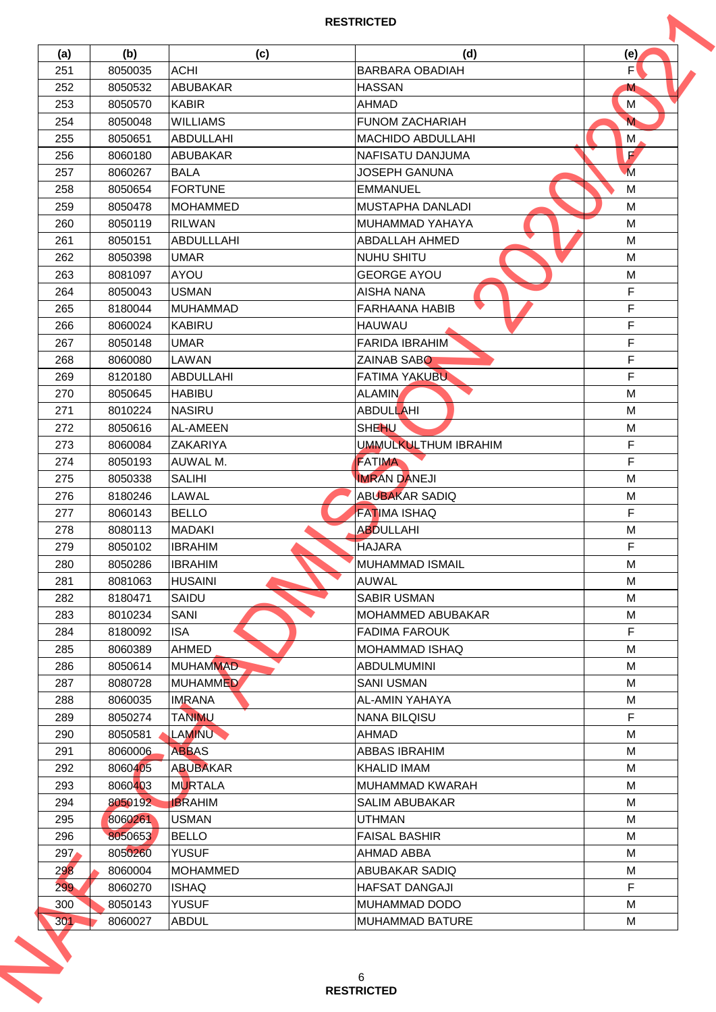| (a) | (b)                | (c)              | (d)                                     | (e)                     |
|-----|--------------------|------------------|-----------------------------------------|-------------------------|
| 251 | 8050035            | <b>ACHI</b>      | <b>BARBARA OBADIAH</b>                  | F'                      |
| 252 | 8050532            | <b>ABUBAKAR</b>  | <b>HASSAN</b>                           | M                       |
| 253 | 8050570            | <b>KABIR</b>     | <b>AHMAD</b>                            | M                       |
| 254 | 8050048            | <b>WILLIAMS</b>  | <b>FUNOM ZACHARIAH</b>                  | $\overline{\mathsf{M}}$ |
| 255 | 8050651            | <b>ABDULLAHI</b> | MACHIDO ABDULLAHI                       | М                       |
| 256 | 8060180            | <b>ABUBAKAR</b>  | NAFISATU DANJUMA                        | $\mathbf{F}$            |
| 257 | 8060267            | <b>BALA</b>      | <b>JOSEPH GANUNA</b>                    | $\overline{M}$          |
| 258 | 8050654            | <b>FORTUNE</b>   | <b>EMMANUEL</b>                         | M                       |
| 259 | 8050478            | <b>MOHAMMED</b>  | MUSTAPHA DANLADI                        | M                       |
| 260 | 8050119            | <b>RILWAN</b>    | <b>MUHAMMAD YAHAYA</b>                  | M                       |
| 261 | 8050151            | ABDULLLAHI       | <b>ABDALLAH AHMED</b>                   | M                       |
| 262 | 8050398            | <b>UMAR</b>      | <b>NUHU SHITU</b>                       | M                       |
| 263 | 8081097            | AYOU             | <b>GEORGE AYOU</b>                      | M                       |
| 264 | 8050043            | <b>USMAN</b>     | <b>AISHA NANA</b>                       | $\mathsf F$             |
| 265 | 8180044            | <b>MUHAMMAD</b>  | <b>FARHAANA HABIB</b>                   | F                       |
| 266 | 8060024            | <b>KABIRU</b>    | <b>HAUWAU</b>                           | F                       |
| 267 | 8050148            | <b>UMAR</b>      | <b>FARIDA IBRAHIM</b>                   | $\mathsf F$             |
| 268 | 8060080            | LAWAN            | <b>ZAINAB SABO</b>                      | F                       |
| 269 | 8120180            | <b>ABDULLAHI</b> | <b>FATIMA YAKUBU</b>                    | F                       |
| 270 | 8050645            | <b>HABIBU</b>    | <b>ALAMIN</b>                           | M                       |
| 271 | 8010224            | <b>NASIRU</b>    | <b>ABDULLAHI</b>                        | M                       |
| 272 | 8050616            | AL-AMEEN         | <b>SHEHU</b>                            | М                       |
| 273 | 8060084            | <b>ZAKARIYA</b>  | <b>UMMULKULTHUM IBRAHIM</b>             | F                       |
| 274 | 8050193            | AUWAL M.         | <b>FATIMA</b>                           | F                       |
| 275 | 8050338            | <b>SALIHI</b>    | <b>IMRAN DANEJI</b>                     | M                       |
| 276 | 8180246            | LAWAL            | ABUBAKAR SADIQ                          | М                       |
| 277 | 8060143            | <b>BELLO</b>     | <b>FATIMA ISHAQ</b>                     | F                       |
| 278 | 8080113            | <b>MADAKI</b>    | <b>ABDULLAHI</b>                        | M                       |
| 279 | 8050102            | <b>IBRAHIM</b>   | <b>HAJARA</b>                           | F                       |
| 280 | 8050286            | <b>IBRAHIM</b>   | <b>MUHAMMAD ISMAIL</b>                  | M                       |
| 281 | 8081063            | <b>HUSAINI</b>   | <b>AUWAL</b>                            | M                       |
| 282 | 8180471            | SAIDU            | <b>SABIR USMAN</b>                      | M                       |
| 283 | 8010234            | <b>SANI</b>      | <b>MOHAMMED ABUBAKAR</b>                | М                       |
| 284 | 8180092            | <b>ISA</b>       | <b>FADIMA FAROUK</b>                    | F                       |
| 285 | 8060389            | <b>AHMED</b>     | <b>MOHAMMAD ISHAQ</b>                   | M                       |
| 286 | 8050614            | <b>MUHAMMAD</b>  | <b>ABDULMUMINI</b>                      | М                       |
| 287 | 8080728            | <b>MUHAMMED</b>  | <b>SANI USMAN</b>                       | M                       |
| 288 | 8060035            | <b>IMRANA</b>    | AL-AMIN YAHAYA                          | М                       |
| 289 | 8050274            | <b>TANIMU</b>    | <b>NANA BILQISU</b>                     | F                       |
| 290 | 8050581            | <b>LAMINU</b>    | <b>AHMAD</b>                            | М                       |
| 291 | 8060006            | <b>ABBAS</b>     | <b>ABBAS IBRAHIM</b>                    | M                       |
| 292 | 8060405            | <b>ABUBAKAR</b>  | <b>KHALID IMAM</b>                      | M                       |
| 293 | 8060403            | <b>MURTALA</b>   | <b>MUHAMMAD KWARAH</b>                  | M                       |
| 294 | 8050192            | <b>IBRAHIM</b>   | <b>SALIM ABUBAKAR</b>                   | М                       |
| 295 | 8060261            | <b>USMAN</b>     | <b>UTHMAN</b>                           | M                       |
| 296 | 8050653            | <b>BELLO</b>     | <b>FAISAL BASHIR</b>                    | M                       |
| 297 | 8050260            | <b>YUSUF</b>     | AHMAD ABBA                              | М                       |
| 298 | 8060004            | <b>MOHAMMED</b>  | <b>ABUBAKAR SADIQ</b>                   | M                       |
| 299 |                    | <b>ISHAQ</b>     | HAFSAT DANGAJI                          | F                       |
|     | 8060270            | <b>YUSUF</b>     |                                         |                         |
| 300 | 8050143<br>8060027 | <b>ABDUL</b>     | MUHAMMAD DODO<br><b>MUHAMMAD BATURE</b> | М<br>M                  |
| 301 |                    |                  |                                         |                         |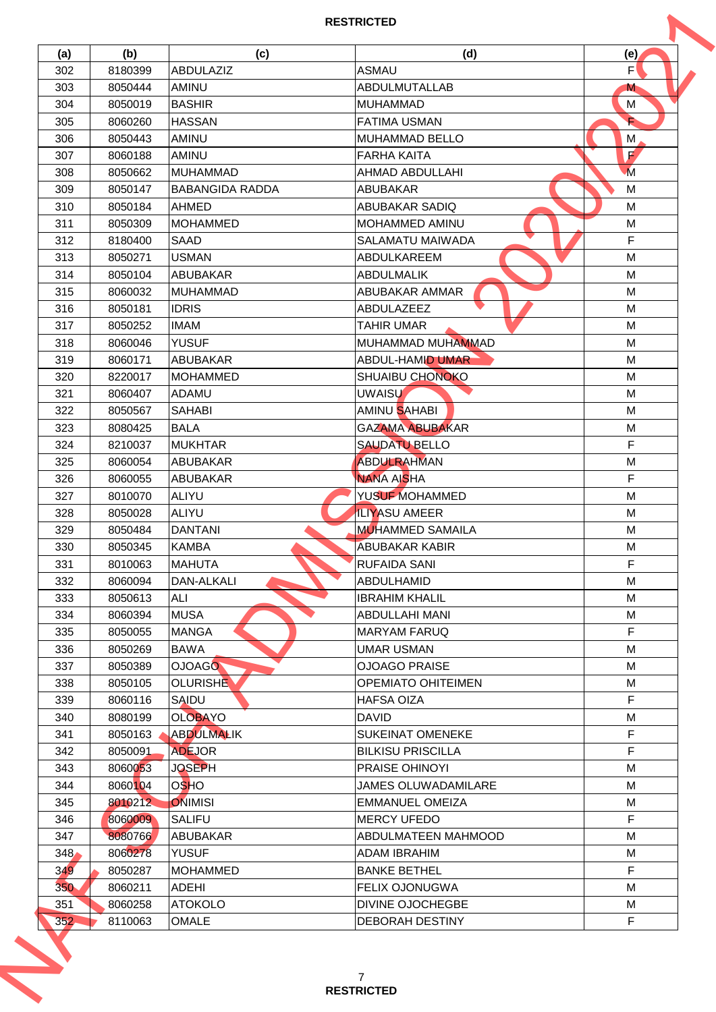| (a) | (b)     | (c)                    | (d)                        | (e)            |
|-----|---------|------------------------|----------------------------|----------------|
| 302 | 8180399 | ABDULAZIZ              | <b>ASMAU</b>               | F'             |
| 303 | 8050444 | AMINU                  | ABDULMUTALLAB              | M              |
| 304 | 8050019 | <b>BASHIR</b>          | <b>MUHAMMAD</b>            | M              |
| 305 | 8060260 | <b>HASSAN</b>          | <b>FATIMA USMAN</b>        | È              |
| 306 | 8050443 | AMINU                  | <b>MUHAMMAD BELLO</b>      | М              |
| 307 | 8060188 | <b>AMINU</b>           | <b>FARHA KAITA</b>         | E              |
| 308 | 8050662 | <b>MUHAMMAD</b>        | AHMAD ABDULLAHI            | $\overline{M}$ |
| 309 | 8050147 | <b>BABANGIDA RADDA</b> | <b>ABUBAKAR</b>            | M              |
| 310 | 8050184 | AHMED                  | <b>ABUBAKAR SADIQ</b>      | M              |
| 311 | 8050309 | <b>MOHAMMED</b>        | <b>MOHAMMED AMINU</b>      | M              |
| 312 | 8180400 | <b>SAAD</b>            | SALAMATU MAIWADA           | F              |
| 313 | 8050271 | <b>USMAN</b>           | ABDULKAREEM                | M              |
| 314 | 8050104 | <b>ABUBAKAR</b>        | <b>ABDULMALIK</b>          | M              |
| 315 | 8060032 | <b>MUHAMMAD</b>        | ABUBAKAR AMMAR             | M              |
| 316 | 8050181 | <b>IDRIS</b>           | ABDULAZEEZ                 | М              |
| 317 | 8050252 | <b>IMAM</b>            | <b>TAHIR UMAR</b>          | M              |
| 318 | 8060046 | <b>YUSUF</b>           | MUHAMMAD MUHAMMAD          | M              |
| 319 | 8060171 | <b>ABUBAKAR</b>        | <b>ABDUL-HAMID UMAR</b>    | М              |
| 320 | 8220017 | <b>MOHAMMED</b>        | <b>SHUAIBU CHONOKO</b>     | M              |
| 321 | 8060407 | <b>ADAMU</b>           | <b>UWAISU</b>              | M              |
| 322 | 8050567 | <b>SAHABI</b>          | AMINU SAHABI               | М              |
|     |         |                        |                            |                |
| 323 | 8080425 | BALA                   | <b>GAZAMA ABUBAKAR</b>     | М              |
| 324 | 8210037 | <b>MUKHTAR</b>         | <b>SAUDATU BELLO</b>       | F              |
| 325 | 8060054 | <b>ABUBAKAR</b>        | <b>ABDULRAHMAN</b>         | M              |
| 326 | 8060055 | <b>ABUBAKAR</b>        | NANA AISHA                 | F              |
| 327 | 8010070 | <b>ALIYU</b>           | YUSUF MOHAMMED             | M              |
| 328 | 8050028 | <b>ALIYU</b>           | <b>ILIYASU AMEER</b>       | M              |
| 329 | 8050484 | <b>DANTANI</b>         | <b>MUHAMMED SAMAILA</b>    | M              |
| 330 | 8050345 | <b>KAMBA</b>           | <b>ABUBAKAR KABIR</b>      | М              |
| 331 | 8010063 | <b>MAHUTA</b>          | <b>RUFAIDA SANI</b>        | F              |
| 332 | 8060094 | DAN-ALKALI             | <b>ABDULHAMID</b>          | M              |
| 333 | 8050613 | ALI                    | <b>IBRAHIM KHALIL</b>      | M              |
| 334 | 8060394 | <b>MUSA</b>            | ABDULLAHI MANI             | М              |
| 335 | 8050055 | <b>MANGA</b>           | <b>MARYAM FARUQ</b>        | F              |
| 336 | 8050269 | <b>BAWA</b>            | <b>UMAR USMAN</b>          | M              |
| 337 | 8050389 | <b>OJOAGO</b>          | <b>OJOAGO PRAISE</b>       | М              |
| 338 | 8050105 | <b>OLURISHE</b>        | <b>OPEMIATO OHITEIMEN</b>  | M              |
| 339 | 8060116 | SAIDU                  | <b>HAFSA OIZA</b>          | F              |
| 340 | 8080199 | <b>OLOBAYO</b>         | <b>DAVID</b>               | M              |
| 341 | 8050163 | <b>ABDULMALIK</b>      | <b>SUKEINAT OMENEKE</b>    | F              |
| 342 | 8050091 | <b>ADEJOR</b>          | <b>BILKISU PRISCILLA</b>   | F              |
| 343 | 8060053 | <b>JOSEPH</b>          | PRAISE OHINOYI             | M              |
| 344 | 8060104 | <b>OSHO</b>            | <b>JAMES OLUWADAMILARE</b> | M              |
| 345 | 8010212 | ONIMISI                | <b>EMMANUEL OMEIZA</b>     | М              |
| 346 | 8060009 | <b>SALIFU</b>          | <b>MERCY UFEDO</b>         | F              |
| 347 | 8080766 | ABUBAKAR               | ABDULMATEEN MAHMOOD        | M              |
| 348 | 8060278 | <b>YUSUF</b>           | ADAM IBRAHIM               | м              |
| 349 | 8050287 | <b>MOHAMMED</b>        | <b>BANKE BETHEL</b>        | F              |
| 350 | 8060211 | <b>ADEHI</b>           | FELIX OJONUGWA             | M              |
| 351 | 8060258 | <b>ATOKOLO</b>         | DIVINE OJOCHEGBE           | М              |
|     | 8110063 | <b>OMALE</b>           | DEBORAH DESTINY            | F              |
| 352 |         |                        |                            |                |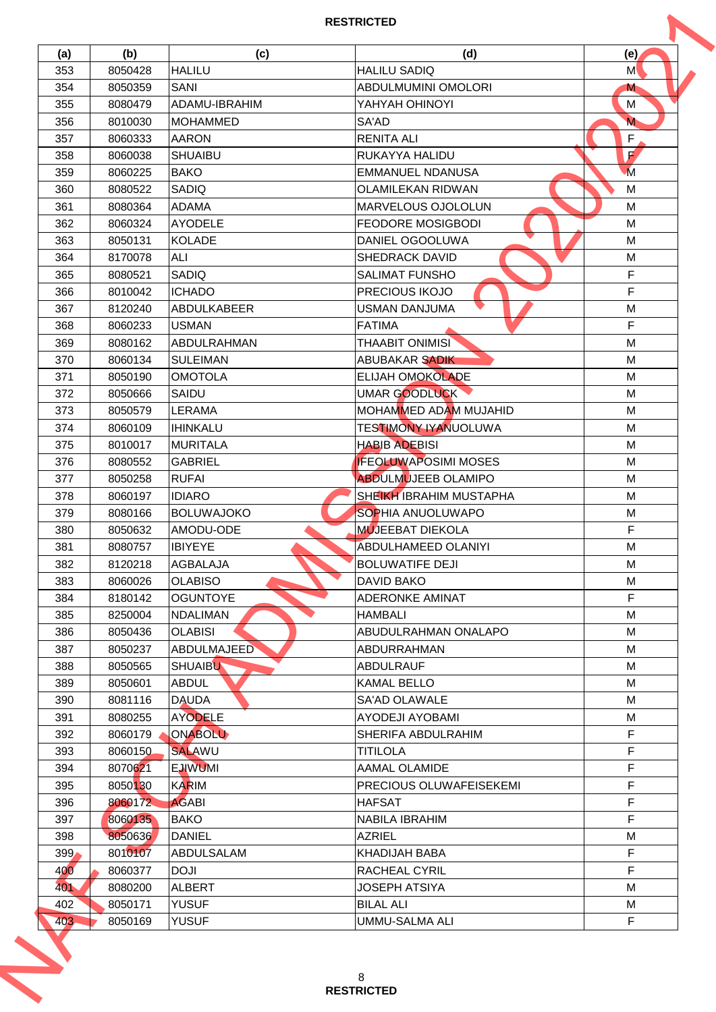| (a)        | (b)     | (c)                          | (d)                            | (e)                     |
|------------|---------|------------------------------|--------------------------------|-------------------------|
| 353        | 8050428 | <b>HALILU</b>                | <b>HALILU SADIQ</b>            | M                       |
| 354        | 8050359 | SANI                         | ABDULMUMINI OMOLORI            | M                       |
| 355        | 8080479 | ADAMU-IBRAHIM                | YAHYAH OHINOYI                 | M                       |
| 356        | 8010030 | <b>MOHAMMED</b>              | SA'AD                          | $\overline{\mathsf{M}}$ |
| 357        | 8060333 | <b>AARON</b>                 | <b>RENITA ALI</b>              | F                       |
| 358        | 8060038 | <b>SHUAIBU</b>               | RUKAYYA HALIDU                 | $\mathbf{F}$            |
| 359        | 8060225 | <b>BAKO</b>                  | <b>EMMANUEL NDANUSA</b>        | $\overline{M}$          |
| 360        | 8080522 | SADIQ                        | <b>OLAMILEKAN RIDWAN</b>       | M                       |
| 361        | 8080364 | <b>ADAMA</b>                 | MARVELOUS OJOLOLUN             | M                       |
| 362        | 8060324 | <b>AYODELE</b>               | <b>FEODORE MOSIGBODI</b>       | M                       |
| 363        | 8050131 | <b>KOLADE</b>                | DANIEL OGOOLUWA                | M                       |
| 364        | 8170078 | ALI                          | <b>SHEDRACK DAVID</b>          | M                       |
| 365        | 8080521 | SADIQ                        | <b>SALIMAT FUNSHO</b>          | F                       |
| 366        | 8010042 | <b>ICHADO</b>                | PRECIOUS IKOJO                 | F                       |
| 367        | 8120240 | <b>ABDULKABEER</b>           | <b>USMAN DANJUMA</b>           | M                       |
|            |         |                              |                                | F                       |
| 368        | 8060233 | <b>USMAN</b>                 | <b>FATIMA</b>                  |                         |
| 369        | 8080162 | ABDULRAHMAN                  | <b>THAABIT ONIMISI</b>         | M                       |
| 370        | 8060134 | <b>SULEIMAN</b>              | ABUBAKAR SADIK                 | М                       |
| 371        | 8050190 | <b>OMOTOLA</b>               | <b>ELIJAH OMOKOLADE</b>        | M                       |
| 372        | 8050666 | SAIDU                        | UMAR GOODLUCK                  | M                       |
| 373        | 8050579 | <b>LERAMA</b>                | <b>MOHAMMED ADAM MUJAHID</b>   | M                       |
| 374        | 8060109 | <b>IHINKALU</b>              | TESTIMONY IYANUOLUWA           | M                       |
| 375        | 8010017 | <b>MURITALA</b>              | <b>HABIB ADEBISI</b>           | M                       |
| 376        | 8080552 | <b>GABRIEL</b>               | <b>IFEOLUWAPOSIMI MOSES</b>    | M                       |
| 377        | 8050258 | <b>RUFAI</b>                 | <b>ABDULMUJEEB OLAMIPO</b>     | M                       |
| 378        | 8060197 | <b>IDIARO</b>                | <b>SHEIKH IBRAHIM MUSTAPHA</b> | M                       |
| 379        | 8080166 | <b>BOLUWAJOKO</b>            | <b>SOPHIA ANUOLUWAPO</b>       | M                       |
| 380        | 8050632 | AMODU-ODE                    | <b>MUJEEBAT DIEKOLA</b>        | F                       |
| 381        | 8080757 | <b>IBIYEYE</b>               | ABDULHAMEED OLANIYI            | М                       |
| 382        | 8120218 | AGBALAJA                     | <b>BOLUWATIFE DEJI</b>         | M                       |
| 383        | 8060026 | <b>OLABISO</b>               | <b>DAVID BAKO</b>              | M                       |
| 384        | 8180142 | <b>OGUNTOYE</b>              | <b>ADERONKE AMINAT</b>         | F                       |
| 385        | 8250004 | <b>NDALIMAN</b>              | <b>HAMBALI</b>                 | М                       |
| 386        | 8050436 | <b>OLABISI</b>               | ABUDULRAHMAN ONALAPO           | M                       |
| 387        | 8050237 | <b>ABDULMAJEED</b>           | <b>ABDURRAHMAN</b>             | M                       |
| 388        | 8050565 | <b>SHUAIBU</b>               | <b>ABDULRAUF</b>               | М                       |
| 389        | 8050601 | <b>ABDUL</b>                 | <b>KAMAL BELLO</b>             | М                       |
| 390        | 8081116 | <b>DAUDA</b>                 | <b>SA'AD OLAWALE</b>           | M                       |
| 391        | 8080255 | <b>AYODELE</b>               | AYODEJI AYOBAMI                | М                       |
| 392        | 8060179 | ONABOLU                      | SHERIFA ABDULRAHIM             | F                       |
| 393        | 8060150 | <b>SALAWU</b>                | <b>TITILOLA</b>                | F                       |
| 394        | 8070621 | <b>EJIWUMI</b>               | AAMAL OLAMIDE                  | F                       |
| 395        | 8050130 | <b>KARIM</b>                 | PRECIOUS OLUWAFEISEKEMI        | F                       |
| 396        | 8060172 | <b>AGABI</b>                 | <b>HAFSAT</b>                  | F                       |
|            | 8060135 | <b>BAKO</b>                  | NABILA IBRAHIM                 | F                       |
| 397<br>398 | 8050636 | <b>DANIEL</b>                | <b>AZRIEL</b>                  | M                       |
|            |         |                              |                                |                         |
| 399        | 8010107 | ABDULSALAM                   | KHADIJAH BABA                  | F                       |
| 400        | 8060377 | <b>DOJI</b>                  | <b>RACHEAL CYRIL</b>           | F                       |
| 401        | 8080200 | <b>ALBERT</b>                | JOSEPH ATSIYA                  | M                       |
|            | 8050171 | <b>YUSUF</b><br><b>YUSUF</b> | <b>BILAL ALI</b>               | М<br>F                  |
| 402<br>403 | 8050169 |                              | <b>UMMU-SALMA ALI</b>          |                         |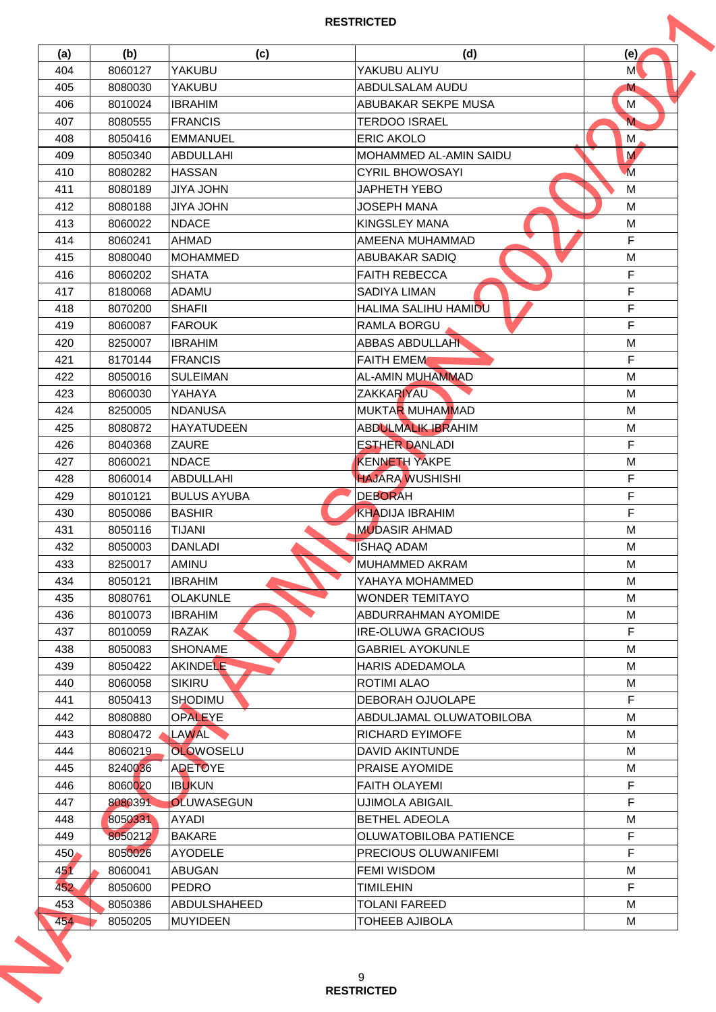| (a)        | (b)                | (c)                              | (d)                                               | (e)                     |
|------------|--------------------|----------------------------------|---------------------------------------------------|-------------------------|
| 404        | 8060127            | YAKUBU                           | YAKUBU ALIYU                                      | M                       |
| 405        | 8080030            | <b>YAKUBU</b>                    | ABDULSALAM AUDU                                   | M                       |
| 406        | 8010024            | <b>IBRAHIM</b>                   | ABUBAKAR SEKPE MUSA                               | M                       |
| 407        | 8080555            | <b>FRANCIS</b>                   | <b>TERDOO ISRAEL</b>                              | $\overline{\mathsf{M}}$ |
| 408        | 8050416            | <b>EMMANUEL</b>                  | <b>ERIC AKOLO</b>                                 | М                       |
| 409        | 8050340            | <b>ABDULLAHI</b>                 | MOHAMMED AL-AMIN SAIDU                            | M                       |
| 410        | 8080282            | <b>HASSAN</b>                    | <b>CYRIL BHOWOSAYI</b>                            | $\overline{M}$          |
| 411        | 8080189            | <b>UHOL AYIL</b>                 | <b>JAPHETH YEBO</b>                               | M                       |
| 412        | 8080188            | <b>JIYA JOHN</b>                 | <b>JOSEPH MANA</b>                                | M                       |
| 413        | 8060022            | <b>NDACE</b>                     | <b>KINGSLEY MANA</b>                              | M                       |
| 414        | 8060241            | AHMAD                            | AMEENA MUHAMMAD                                   | F                       |
| 415        | 8080040            | <b>MOHAMMED</b>                  | <b>ABUBAKAR SADIQ</b>                             | M                       |
| 416        | 8060202            | <b>SHATA</b>                     | <b>FAITH REBECCA</b>                              | F                       |
| 417        | 8180068            | <b>ADAMU</b>                     | SADIYA LIMAN                                      | $\mathsf F$             |
| 418        | 8070200            | <b>SHAFII</b>                    | HALIMA SALIHU HAMIDU                              | F                       |
| 419        | 8060087            | <b>FAROUK</b>                    | RAMLA BORGU                                       | F                       |
| 420        | 8250007            | <b>IBRAHIM</b>                   | <b>ABBAS ABDULLAHI</b>                            | M                       |
| 421        | 8170144            | <b>FRANCIS</b>                   | <b>FAITH EMEM</b>                                 | F                       |
| 422        | 8050016            | <b>SULEIMAN</b>                  | AL-AMIN MUHAMMAD                                  | M                       |
| 423        | 8060030            | YAHAYA                           | <b>ZAKKARIYAU</b>                                 | M                       |
| 424        | 8250005            | <b>NDANUSA</b>                   | <b>MUKTAR MUHAMMAD</b>                            | М                       |
| 425        | 8080872            | <b>HAYATUDEEN</b>                | <b>ABDULMALIK IBRAHIM</b>                         | м                       |
| 426        | 8040368            | ZAURE                            | <b>ESTHER DANLADI</b>                             | F                       |
| 427        | 8060021            | <b>NDACE</b>                     | <b>KENNETH YAKPE</b>                              | M                       |
| 428        | 8060014            | ABDULLAHI                        | <b>HAJARA WUSHISHI</b>                            | F                       |
| 429        | 8010121            | <b>BULUS AYUBA</b>               | <b>DEBORAH</b>                                    | F                       |
| 430        | 8050086            | <b>BASHIR</b>                    | <b>KHADIJA IBRAHIM</b>                            | F                       |
| 431        | 8050116            | <b>TIJANI</b>                    | <b>MUDASIR AHMAD</b>                              | M                       |
| 432        | 8050003            | <b>DANLADI</b>                   | <b>ISHAQ ADAM</b>                                 | М                       |
| 433        | 8250017            | AMINU                            | <b>MUHAMMED AKRAM</b>                             | M                       |
| 434        |                    | <b>IBRAHIM</b>                   | YAHAYA MOHAMMED                                   | M                       |
| 435        | 8050121<br>8080761 | <b>OLAKUNLE</b>                  | <b>WONDER TEMITAYO</b>                            | M                       |
| 436        | 8010073            | <b>IBRAHIM</b>                   | ABDURRAHMAN AYOMIDE                               | М                       |
|            | 8010059            | RAZAK                            | <b>IRE-OLUWA GRACIOUS</b>                         | F                       |
| 437        |                    |                                  |                                                   |                         |
| 438<br>439 | 8050083<br>8050422 | <b>SHONAME</b>                   | <b>GABRIEL AYOKUNLE</b><br><b>HARIS ADEDAMOLA</b> | M<br>М                  |
| 440        | 8060058            | <b>AKINDELE</b><br><b>SIKIRU</b> | <b>ROTIMI ALAO</b>                                | М                       |
|            |                    |                                  |                                                   |                         |
| 441        | 8050413            | <b>SHODIMU</b>                   | <b>DEBORAH OJUOLAPE</b>                           | F                       |
| 442        | 8080880            | <b>OPALEYE</b>                   | ABDULJAMAL OLUWATOBILOBA                          | М                       |
| 443        | 8080472            | LAWAL                            | <b>RICHARD EYIMOFE</b>                            | М                       |
| 444        | 8060219            | <b>OLOWOSELU</b>                 | <b>DAVID AKINTUNDE</b>                            | M                       |
| 445        | 8240036            | <b>ADETOYE</b>                   | PRAISE AYOMIDE                                    | М                       |
| 446        | 8060020            | <b>IBUKUN</b>                    | <b>FAITH OLAYEMI</b>                              | F                       |
| 447        | 8080391            | <b>OLUWASEGUN</b>                | <b>UJIMOLA ABIGAIL</b>                            | F                       |
| 448        | 8050331            | AYADI                            | <b>BETHEL ADEOLA</b>                              | M                       |
| 449        | 8050212            | <b>BAKARE</b>                    | OLUWATOBILOBA PATIENCE                            | F                       |
| 450        | 8050026            | <b>AYODELE</b>                   | <b>PRECIOUS OLUWANIFEMI</b>                       | F                       |
| 451        | 8060041            | <b>ABUGAN</b>                    | <b>FEMI WISDOM</b>                                | M                       |
| 452        | 8050600            | <b>PEDRO</b>                     | TIMILEHIN                                         | F.                      |
| 453        | 8050386            | ABDULSHAHEED                     | TOLANI FAREED                                     | М                       |
| 454        | 8050205            | <b>MUYIDEEN</b>                  | <b>TOHEEB AJIBOLA</b>                             | М                       |
|            |                    |                                  | 9                                                 |                         |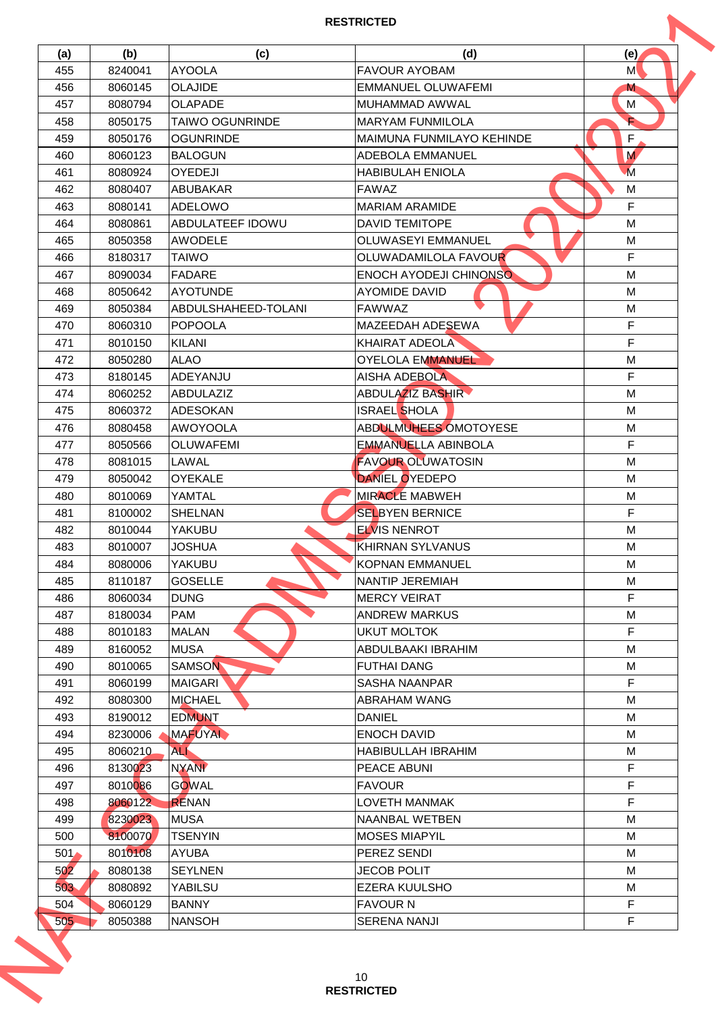| (a)        | (b)                | (c)                           | (d)                           | (e)            |
|------------|--------------------|-------------------------------|-------------------------------|----------------|
| 455        | 8240041            | <b>AYOOLA</b>                 | <b>FAVOUR AYOBAM</b>          | M              |
| 456        | 8060145            | <b>OLAJIDE</b>                | <b>EMMANUEL OLUWAFEMI</b>     | M              |
| 457        | 8080794            | <b>OLAPADE</b>                | MUHAMMAD AWWAL                | M              |
| 458        | 8050175            | <b>TAIWO OGUNRINDE</b>        | <b>MARYAM FUNMILOLA</b>       | È              |
| 459        | 8050176            | <b>OGUNRINDE</b>              | MAIMUNA FUNMILAYO KEHINDE     | F              |
| 460        | 8060123            | <b>BALOGUN</b>                | <b>ADEBOLA EMMANUEL</b>       | M              |
| 461        | 8080924            | <b>OYEDEJI</b>                | <b>HABIBULAH ENIOLA</b>       | $\overline{M}$ |
| 462        | 8080407            | <b>ABUBAKAR</b>               | <b>FAWAZ</b>                  | M              |
| 463        | 8080141            | <b>ADELOWO</b>                | <b>MARIAM ARAMIDE</b>         | F              |
| 464        | 8080861            | ABDULATEEF IDOWU              | <b>DAVID TEMITOPE</b>         | M              |
| 465        | 8050358            | AWODELE                       | <b>OLUWASEYI EMMANUEL</b>     | М              |
| 466        | 8180317            | <b>TAIWO</b>                  | OLUWADAMILOLA FAVOUR          | F              |
| 467        | 8090034            | <b>FADARE</b>                 | <b>ENOCH AYODEJI CHINONSO</b> | M              |
| 468        | 8050642            | <b>AYOTUNDE</b>               | <b>AYOMIDE DAVID</b>          | M              |
| 469        | 8050384            | ABDULSHAHEED-TOLANI           | <b>FAWWAZ</b>                 | М              |
|            |                    | <b>POPOOLA</b>                |                               | F              |
| 470        | 8060310<br>8010150 |                               | MAZEEDAH ADESEWA              | F              |
| 471        |                    | <b>KILANI</b>                 | <b>KHAIRAT ADEOLA</b>         |                |
| 472        | 8050280            | <b>ALAO</b>                   | <b>OYELOLA EMMANUEL</b>       | М              |
| 473        | 8180145            | ADEYANJU                      | <b>AISHA ADEBOLA</b>          | F              |
| 474        | 8060252            | ABDULAZIZ                     | <b>ABDULAZIZ BASHIR</b>       | M              |
| 475        | 8060372            | <b>ADESOKAN</b>               | <b>ISRAEL SHOLA</b>           | M              |
| 476        | 8080458            | <b>AWOYOOLA</b>               | ABDULMUHEES OMOTOYESE         | м              |
| 477        | 8050566            | <b>OLUWAFEMI</b>              | <b>EMMANUELLA ABINBOLA</b>    | F              |
| 478        | 8081015            | LAWAL                         | <b>FAVOUR OLUWATOSIN</b>      | M              |
| 479        | 8050042            | <b>OYEKALE</b>                | DANIEL OYEDEPO                | M              |
| 480        | 8010069            | YAMTAL                        | <b>MIRACLE MABWEH</b>         | М              |
| 481        | 8100002            | <b>SHELNAN</b>                | <b>SELBYEN BERNICE</b>        | F              |
| 482        | 8010044            | YAKUBU                        | <b>ELVIS NENROT</b>           | M              |
| 483        | 8010007            | <b>JOSHUA</b>                 | <b>KHIRNAN SYLVANUS</b>       | М              |
| 484        | 8080006            | YAKUBU                        | <b>KOPNAN EMMANUEL</b>        | M              |
| 485        | 8110187            | <b>GOSELLE</b>                | <b>NANTIP JEREMIAH</b>        | M              |
| 486        | 8060034            | <b>DUNG</b>                   | <b>MERCY VEIRAT</b>           | F              |
| 487        | 8180034            | <b>PAM</b>                    | <b>ANDREW MARKUS</b>          | М              |
| 488        | 8010183            | <b>MALAN</b>                  | <b>UKUT MOLTOK</b>            | F              |
| 489        | 8160052            | <b>MUSA</b>                   | ABDULBAAKI IBRAHIM            | M              |
| 490        | 8010065            | <b>SAMSON</b>                 | <b>FUTHAI DANG</b>            | м              |
| 491        | 8060199            | <b>MAIGARI</b>                | <b>SASHA NAANPAR</b>          | F              |
| 492        | 8080300            | <b>MICHAEL</b>                | <b>ABRAHAM WANG</b>           | M              |
| 493        | 8190012            | <b>EDMUNT</b>                 | <b>DANIEL</b>                 | М              |
| 494        | 8230006            | <b>MAFUYAL</b>                | <b>ENOCH DAVID</b>            | М              |
| 495        | 8060210            | <b>ALI</b>                    | HABIBULLAH IBRAHIM            | М              |
| 496        | 8130023            | <b>NYANI</b>                  | PEACE ABUNI                   | F              |
| 497        | 8010086            | <b>GOWAL</b>                  | <b>FAVOUR</b>                 | F              |
| 498        | 8060122            | <b>RENAN</b>                  | LOVETH MANMAK                 | F              |
| 499        | 8230023            | <b>MUSA</b>                   | NAANBAL WETBEN                | M              |
|            |                    |                               |                               |                |
| 500        | 8100070            | <b>TSENYIN</b>                | <b>MOSES MIAPYIL</b>          | M              |
| 501        | 8010108            | <b>AYUBA</b>                  | PEREZ SENDI                   | М              |
| 502        | 8080138            | <b>SEYLNEN</b>                | <b>JECOB POLIT</b>            | M              |
| 503        | 8080892            | <b>YABILSU</b>                | <b>EZERA KUULSHO</b>          | M              |
|            | 8060129<br>8050388 | <b>BANNY</b><br><b>NANSOH</b> | <b>FAVOUR N</b>               | F              |
| 504<br>505 |                    |                               | <b>SERENA NANJI</b>           | F              |